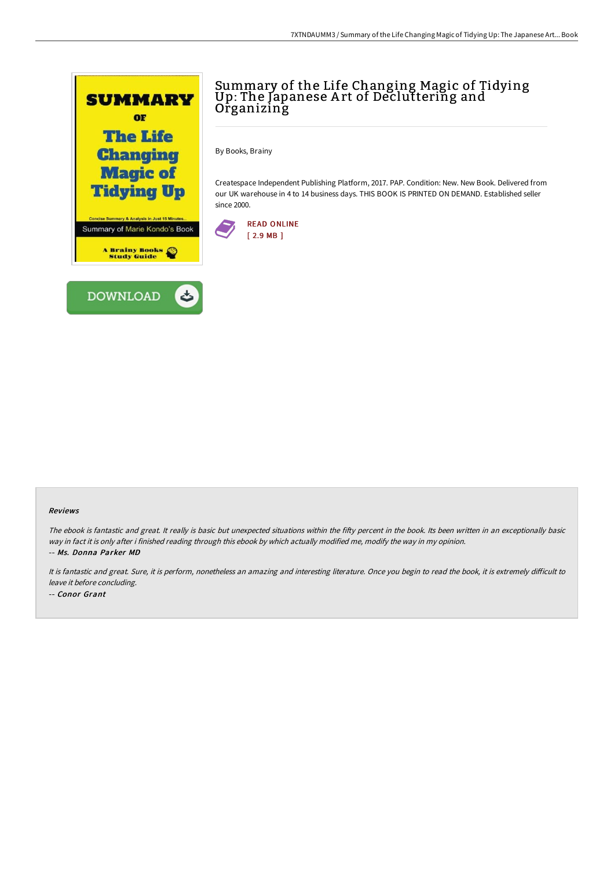

## Summary of the Life Changing Magic of Tidying<br>Up: The Japanese Art of Decluttering and Organizing

By Books, Brainy

Createspace Independent Publishing Platform, 2017. PAP. Condition: New. New Book. Delivered from our UK warehouse in 4 to 14 business days. THIS BOOK IS PRINTED ON DEMAND. Established seller since 2000.



## Reviews

The ebook is fantastic and great. It really is basic but unexpected situations within the fifty percent in the book. Its been written in an exceptionally basic way in fact it is only after i finished reading through this ebook by which actually modified me, modify the way in my opinion. -- Ms. Donna Parker MD

It is fantastic and great. Sure, it is perform, nonetheless an amazing and interesting literature. Once you begin to read the book, it is extremely difficult to leave it before concluding. -- Conor Grant